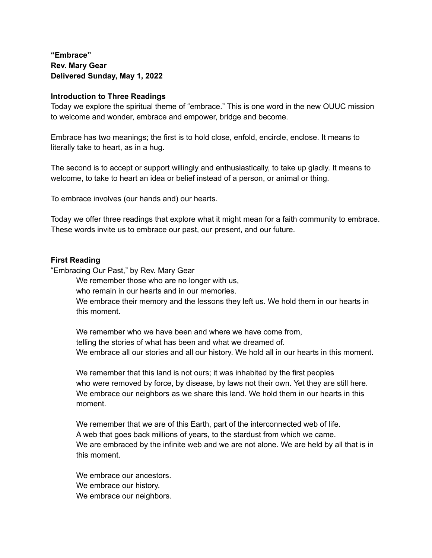**"Embrace" Rev. Mary Gear Delivered Sunday, May 1, 2022**

## **Introduction to Three Readings**

Today we explore the spiritual theme of "embrace." This is one word in the new OUUC mission to welcome and wonder, embrace and empower, bridge and become.

Embrace has two meanings; the first is to hold close, enfold, encircle, enclose. It means to literally take to heart, as in a hug.

The second is to accept or support willingly and enthusiastically, to take up gladly. It means to welcome, to take to heart an idea or belief instead of a person, or animal or thing.

To embrace involves (our hands and) our hearts.

Today we offer three readings that explore what it might mean for a faith community to embrace. These words invite us to embrace our past, our present, and our future.

## **First Reading**

"Embracing Our Past," by Rev. Mary Gear

We remember those who are no longer with us,

who remain in our hearts and in our memories.

We embrace their memory and the lessons they left us. We hold them in our hearts in this moment.

We remember who we have been and where we have come from, telling the stories of what has been and what we dreamed of. We embrace all our stories and all our history. We hold all in our hearts in this moment.

We remember that this land is not ours; it was inhabited by the first peoples who were removed by force, by disease, by laws not their own. Yet they are still here. We embrace our neighbors as we share this land. We hold them in our hearts in this moment.

We remember that we are of this Earth, part of the interconnected web of life. A web that goes back millions of years, to the stardust from which we came. We are embraced by the infinite web and we are not alone. We are held by all that is in this moment.

We embrace our ancestors. We embrace our history. We embrace our neighbors.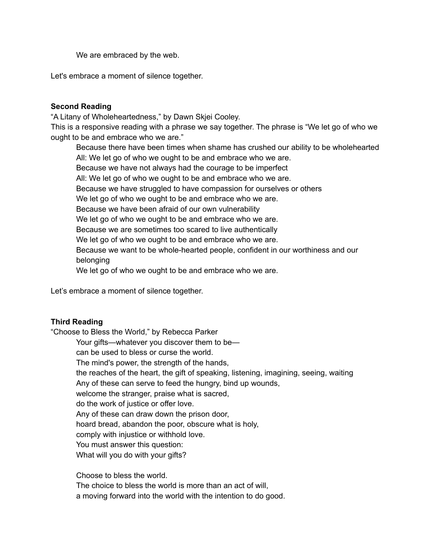We are embraced by the web.

Let's embrace a moment of silence together.

## **Second Reading**

"A Litany of Wholeheartedness," by Dawn Skjei Cooley.

This is a responsive reading with a phrase we say together. The phrase is "We let go of who we ought to be and embrace who we are."

Because there have been times when shame has crushed our ability to be wholehearted All: We let go of who we ought to be and embrace who we are. Because we have not always had the courage to be imperfect All: We let go of who we ought to be and embrace who we are. Because we have struggled to have compassion for ourselves or others We let go of who we ought to be and embrace who we are. Because we have been afraid of our own vulnerability We let go of who we ought to be and embrace who we are. Because we are sometimes too scared to live authentically We let go of who we ought to be and embrace who we are. Because we want to be whole-hearted people, confident in our worthiness and our belonging We let go of who we ought to be and embrace who we are.

Let's embrace a moment of silence together.

## **Third Reading**

"Choose to Bless the World," by Rebecca Parker

Your gifts—whatever you discover them to be—

can be used to bless or curse the world.

The mind's power, the strength of the hands,

the reaches of the heart, the gift of speaking, listening, imagining, seeing, waiting Any of these can serve to feed the hungry, bind up wounds,

welcome the stranger, praise what is sacred,

do the work of justice or offer love.

Any of these can draw down the prison door,

hoard bread, abandon the poor, obscure what is holy,

comply with injustice or withhold love.

You must answer this question:

What will you do with your gifts?

Choose to bless the world.

The choice to bless the world is more than an act of will,

a moving forward into the world with the intention to do good.